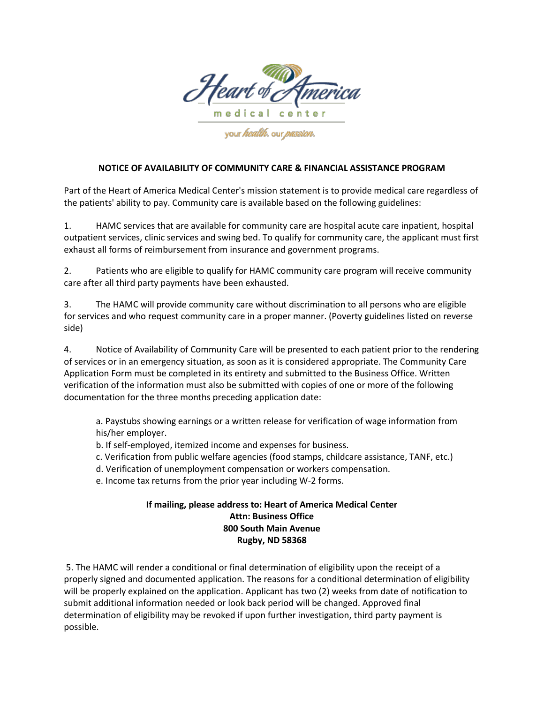

your *health*. our *passion*.

## **NOTICE OF AVAILABILITY OF COMMUNITY CARE & FINANCIAL ASSISTANCE PROGRAM**

Part of the Heart of America Medical Center's mission statement is to provide medical care regardless of the patients' ability to pay. Community care is available based on the following guidelines:

1. HAMC services that are available for community care are hospital acute care inpatient, hospital outpatient services, clinic services and swing bed. To qualify for community care, the applicant must first exhaust all forms of reimbursement from insurance and government programs.

2. Patients who are eligible to qualify for HAMC community care program will receive community care after all third party payments have been exhausted.

3. The HAMC will provide community care without discrimination to all persons who are eligible for services and who request community care in a proper manner. (Poverty guidelines listed on reverse side)

4. Notice of Availability of Community Care will be presented to each patient prior to the rendering of services or in an emergency situation, as soon as it is considered appropriate. The Community Care Application Form must be completed in its entirety and submitted to the Business Office. Written verification of the information must also be submitted with copies of one or more of the following documentation for the three months preceding application date:

a. Paystubs showing earnings or a written release for verification of wage information from his/her employer.

b. If self-employed, itemized income and expenses for business.

c. Verification from public welfare agencies (food stamps, childcare assistance, TANF, etc.)

d. Verification of unemployment compensation or workers compensation.

e. Income tax returns from the prior year including W‐2 forms.

## **If mailing, please address to: Heart of America Medical Center Attn: Business Office 800 South Main Avenue Rugby, ND 58368**

5. The HAMC will render a conditional or final determination of eligibility upon the receipt of a properly signed and documented application. The reasons for a conditional determination of eligibility will be properly explained on the application. Applicant has two (2) weeks from date of notification to submit additional information needed or look back period will be changed. Approved final determination of eligibility may be revoked if upon further investigation, third party payment is possible.